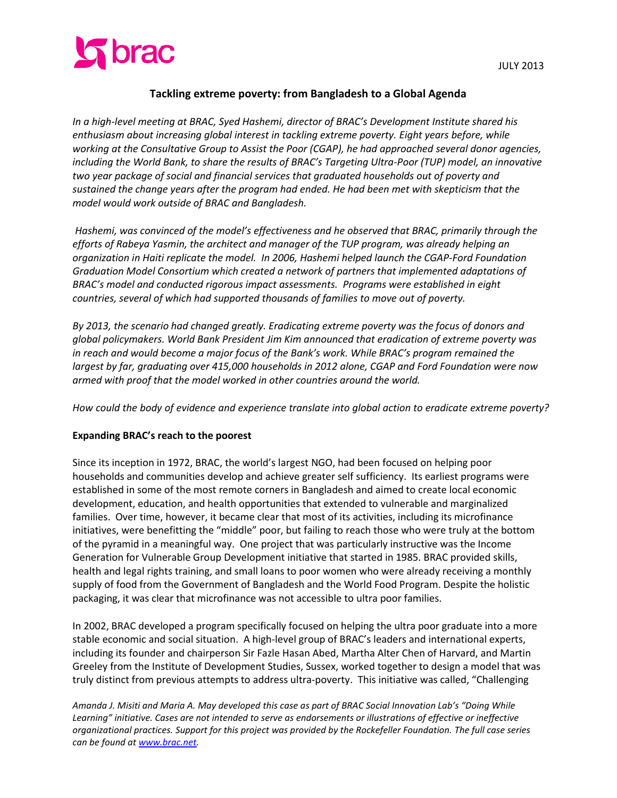

# **Tackling extreme poverty: from Bangladesh to a Global Agenda**

*In a high-level meeting at BRAC, Syed Hashemi, director of BRAC's Development Institute shared his enthusiasm about increasing global interest in tackling extreme poverty. Eight years before, while working at the Consultative Group to Assist the Poor (CGAP), he had approached several donor agencies, including the World Bank, to share the results of BRAC's Targeting Ultra-Poor (TUP) model, an innovative two year package of social and financial services that graduated households out of poverty and sustained the change years after the program had ended. He had been met with skepticism that the model would work outside of BRAC and Bangladesh.* 

*Hashemi, was convinced of the model's effectiveness and he observed that BRAC, primarily through the efforts of Rabeya Yasmin, the architect and manager of the TUP program, was already helping an organization in Haiti replicate the model. In 2006, Hashemi helped launch the CGAP-Ford Foundation Graduation Model Consortium which created a network of partners that implemented adaptations of BRAC's model and conducted rigorous impact assessments. Programs were established in eight countries, several of which had supported thousands of families to move out of poverty.*

*By 2013, the scenario had changed greatly. Eradicating extreme poverty was the focus of donors and global policymakers. World Bank President Jim Kim announced that eradication of extreme poverty was in reach and would become a major focus of the Bank's work. While BRAC's program remained the largest by far, graduating over 415,000 households in 2012 alone, CGAP and Ford Foundation were now armed with proof that the model worked in other countries around the world.* 

*How could the body of evidence and experience translate into global action to eradicate extreme poverty?* 

#### **Expanding BRAC's reach to the poorest**

Since its inception in 1972, BRAC, the world's largest NGO, had been focused on helping poor households and communities develop and achieve greater self sufficiency. Its earliest programs were established in some of the most remote corners in Bangladesh and aimed to create local economic development, education, and health opportunities that extended to vulnerable and marginalized families. Over time, however, it became clear that most of its activities, including its microfinance initiatives, were benefitting the "middle" poor, but failing to reach those who were truly at the bottom of the pyramid in a meaningful way. One project that was particularly instructive was the Income Generation for Vulnerable Group Development initiative that started in 1985. BRAC provided skills, health and legal rights training, and small loans to poor women who were already receiving a monthly supply of food from the Government of Bangladesh and the World Food Program. Despite the holistic packaging, it was clear that microfinance was not accessible to ultra poor families.

In 2002, BRAC developed a program specifically focused on helping the ultra poor graduate into a more stable economic and social situation. A high-level group of BRAC's leaders and international experts, including its founder and chairperson Sir Fazle Hasan Abed, Martha Alter Chen of Harvard, and Martin Greeley from the Institute of Development Studies, Sussex, worked together to design a model that was truly distinct from previous attempts to address ultra-poverty. This initiative was called, "Challenging

*Amanda J. Misiti and Maria A. May developed this case as part of BRAC Social Innovation Lab's "Doing While*  Learning" initiative. Cases are not intended to serve as endorsements or illustrations of effective or ineffective *organizational practices. Support for this project was provided by the Rockefeller Foundation. The full case series can be found at www.brac.net.*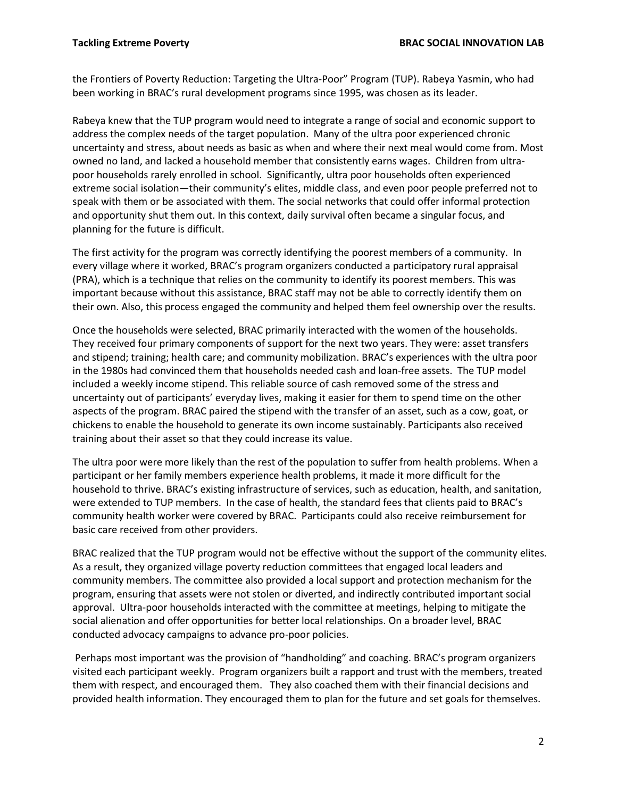the Frontiers of Poverty Reduction: Targeting the Ultra-Poor" Program (TUP). Rabeya Yasmin, who had been working in BRAC's rural development programs since 1995, was chosen as its leader.

Rabeya knew that the TUP program would need to integrate a range of social and economic support to address the complex needs of the target population. Many of the ultra poor experienced chronic uncertainty and stress, about needs as basic as when and where their next meal would come from. Most owned no land, and lacked a household member that consistently earns wages. Children from ultrapoor households rarely enrolled in school. Significantly, ultra poor households often experienced extreme social isolation—their community's elites, middle class, and even poor people preferred not to speak with them or be associated with them. The social networks that could offer informal protection and opportunity shut them out. In this context, daily survival often became a singular focus, and planning for the future is difficult.

The first activity for the program was correctly identifying the poorest members of a community. In every village where it worked, BRAC's program organizers conducted a participatory rural appraisal (PRA), which is a technique that relies on the community to identify its poorest members. This was important because without this assistance, BRAC staff may not be able to correctly identify them on their own. Also, this process engaged the community and helped them feel ownership over the results.

Once the households were selected, BRAC primarily interacted with the women of the households. They received four primary components of support for the next two years. They were: asset transfers and stipend; training; health care; and community mobilization. BRAC's experiences with the ultra poor in the 1980s had convinced them that households needed cash and loan-free assets. The TUP model included a weekly income stipend. This reliable source of cash removed some of the stress and uncertainty out of participants' everyday lives, making it easier for them to spend time on the other aspects of the program. BRAC paired the stipend with the transfer of an asset, such as a cow, goat, or chickens to enable the household to generate its own income sustainably. Participants also received training about their asset so that they could increase its value.

The ultra poor were more likely than the rest of the population to suffer from health problems. When a participant or her family members experience health problems, it made it more difficult for the household to thrive. BRAC's existing infrastructure of services, such as education, health, and sanitation, were extended to TUP members. In the case of health, the standard fees that clients paid to BRAC's community health worker were covered by BRAC. Participants could also receive reimbursement for basic care received from other providers.

BRAC realized that the TUP program would not be effective without the support of the community elites. As a result, they organized village poverty reduction committees that engaged local leaders and community members. The committee also provided a local support and protection mechanism for the program, ensuring that assets were not stolen or diverted, and indirectly contributed important social approval. Ultra-poor households interacted with the committee at meetings, helping to mitigate the social alienation and offer opportunities for better local relationships. On a broader level, BRAC conducted advocacy campaigns to advance pro-poor policies.

Perhaps most important was the provision of "handholding" and coaching. BRAC's program organizers visited each participant weekly. Program organizers built a rapport and trust with the members, treated them with respect, and encouraged them. They also coached them with their financial decisions and provided health information. They encouraged them to plan for the future and set goals for themselves.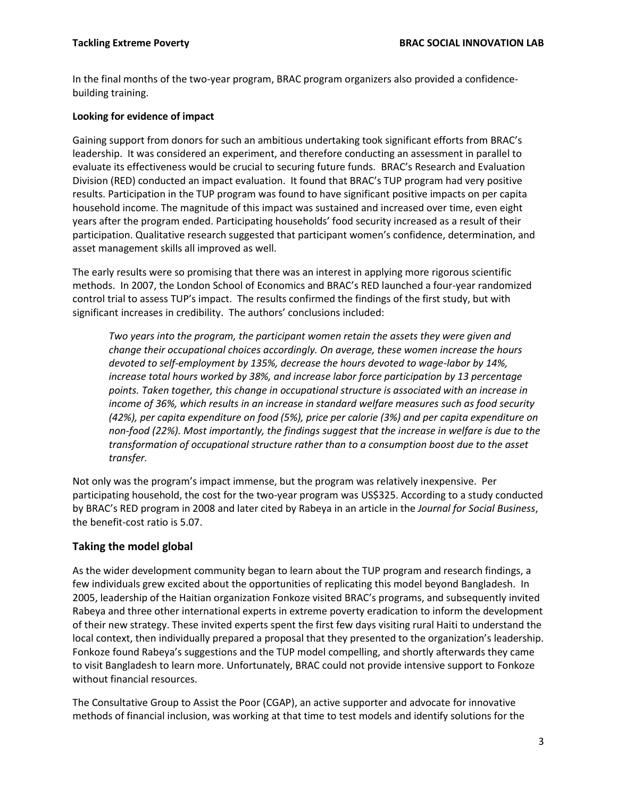In the final months of the two-year program, BRAC program organizers also provided a confidencebuilding training.

#### **Looking for evidence of impact**

Gaining support from donors for such an ambitious undertaking took significant efforts from BRAC's leadership. It was considered an experiment, and therefore conducting an assessment in parallel to evaluate its effectiveness would be crucial to securing future funds. BRAC's Research and Evaluation Division (RED) conducted an impact evaluation. It found that BRAC's TUP program had very positive results. Participation in the TUP program was found to have significant positive impacts on per capita household income. The magnitude of this impact was sustained and increased over time, even eight years after the program ended. Participating households' food security increased as a result of their participation. Qualitative research suggested that participant women's confidence, determination, and asset management skills all improved as well.

The early results were so promising that there was an interest in applying more rigorous scientific methods. In 2007, the London School of Economics and BRAC's RED launched a four-year randomized control trial to assess TUP's impact. The results confirmed the findings of the first study, but with significant increases in credibility. The authors' conclusions included:

*Two years into the program, the participant women retain the assets they were given and change their occupational choices accordingly. On average, these women increase the hours devoted to self-employment by 135%, decrease the hours devoted to wage-labor by 14%,*  increase total hours worked by 38%, and increase labor force participation by 13 percentage *points. Taken together, this change in occupational structure is associated with an increase in income of 36%, which results in an increase in standard welfare measures such as food security (42%), per capita expenditure on food (5%), price per calorie (3%) and per capita expenditure on non-food (22%). Most importantly, the findings suggest that the increase in welfare is due to the transformation of occupational structure rather than to a consumption boost due to the asset transfer.* 

Not only was the program's impact immense, but the program was relatively inexpensive. Per participating household, the cost for the two-year program was US\$325. According to a study conducted by BRAC's RED program in 2008 and later cited by Rabeya in an article in the *Journal for Social Business*, the benefit-cost ratio is 5.07.

# **Taking the model global**

As the wider development community began to learn about the TUP program and research findings, a few individuals grew excited about the opportunities of replicating this model beyond Bangladesh. In 2005, leadership of the Haitian organization Fonkoze visited BRAC's programs, and subsequently invited Rabeya and three other international experts in extreme poverty eradication to inform the development of their new strategy. These invited experts spent the first few days visiting rural Haiti to understand the local context, then individually prepared a proposal that they presented to the organization's leadership. Fonkoze found Rabeya's suggestions and the TUP model compelling, and shortly afterwards they came to visit Bangladesh to learn more. Unfortunately, BRAC could not provide intensive support to Fonkoze without financial resources.

The Consultative Group to Assist the Poor (CGAP), an active supporter and advocate for innovative methods of financial inclusion, was working at that time to test models and identify solutions for the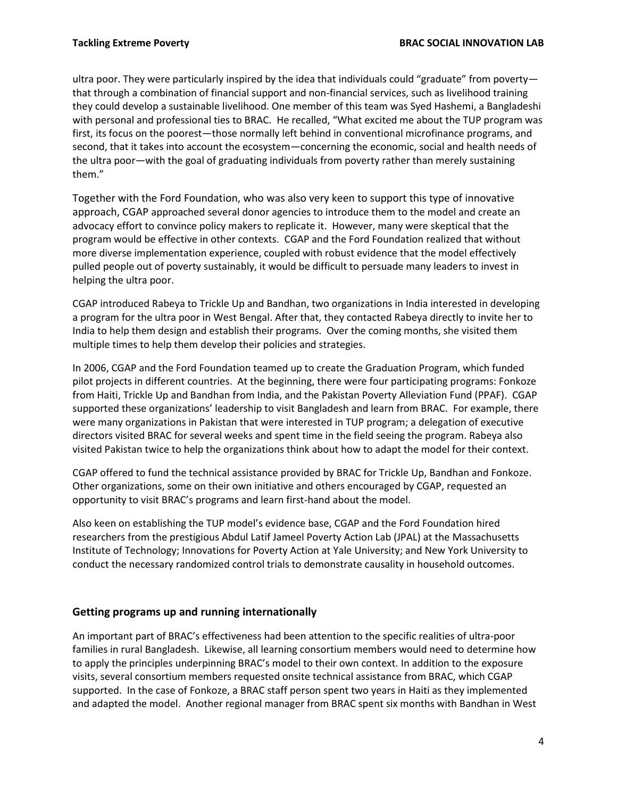ultra poor. They were particularly inspired by the idea that individuals could "graduate" from poverty that through a combination of financial support and non-financial services, such as livelihood training they could develop a sustainable livelihood. One member of this team was Syed Hashemi, a Bangladeshi with personal and professional ties to BRAC. He recalled, "What excited me about the TUP program was first, its focus on the poorest—those normally left behind in conventional microfinance programs, and second, that it takes into account the ecosystem—concerning the economic, social and health needs of the ultra poor—with the goal of graduating individuals from poverty rather than merely sustaining them."

Together with the Ford Foundation, who was also very keen to support this type of innovative approach, CGAP approached several donor agencies to introduce them to the model and create an advocacy effort to convince policy makers to replicate it. However, many were skeptical that the program would be effective in other contexts. CGAP and the Ford Foundation realized that without more diverse implementation experience, coupled with robust evidence that the model effectively pulled people out of poverty sustainably, it would be difficult to persuade many leaders to invest in helping the ultra poor.

CGAP introduced Rabeya to Trickle Up and Bandhan, two organizations in India interested in developing a program for the ultra poor in West Bengal. After that, they contacted Rabeya directly to invite her to India to help them design and establish their programs. Over the coming months, she visited them multiple times to help them develop their policies and strategies.

In 2006, CGAP and the Ford Foundation teamed up to create the Graduation Program, which funded pilot projects in different countries. At the beginning, there were four participating programs: Fonkoze from Haiti, Trickle Up and Bandhan from India, and the Pakistan Poverty Alleviation Fund (PPAF). CGAP supported these organizations' leadership to visit Bangladesh and learn from BRAC. For example, there were many organizations in Pakistan that were interested in TUP program; a delegation of executive directors visited BRAC for several weeks and spent time in the field seeing the program. Rabeya also visited Pakistan twice to help the organizations think about how to adapt the model for their context.

CGAP offered to fund the technical assistance provided by BRAC for Trickle Up, Bandhan and Fonkoze. Other organizations, some on their own initiative and others encouraged by CGAP, requested an opportunity to visit BRAC's programs and learn first-hand about the model.

Also keen on establishing the TUP model's evidence base, CGAP and the Ford Foundation hired researchers from the prestigious Abdul Latif Jameel Poverty Action Lab (JPAL) at the Massachusetts Institute of Technology; Innovations for Poverty Action at Yale University; and New York University to conduct the necessary randomized control trials to demonstrate causality in household outcomes.

# **Getting programs up and running internationally**

An important part of BRAC's effectiveness had been attention to the specific realities of ultra-poor families in rural Bangladesh. Likewise, all learning consortium members would need to determine how to apply the principles underpinning BRAC's model to their own context. In addition to the exposure visits, several consortium members requested onsite technical assistance from BRAC, which CGAP supported. In the case of Fonkoze, a BRAC staff person spent two years in Haiti as they implemented and adapted the model. Another regional manager from BRAC spent six months with Bandhan in West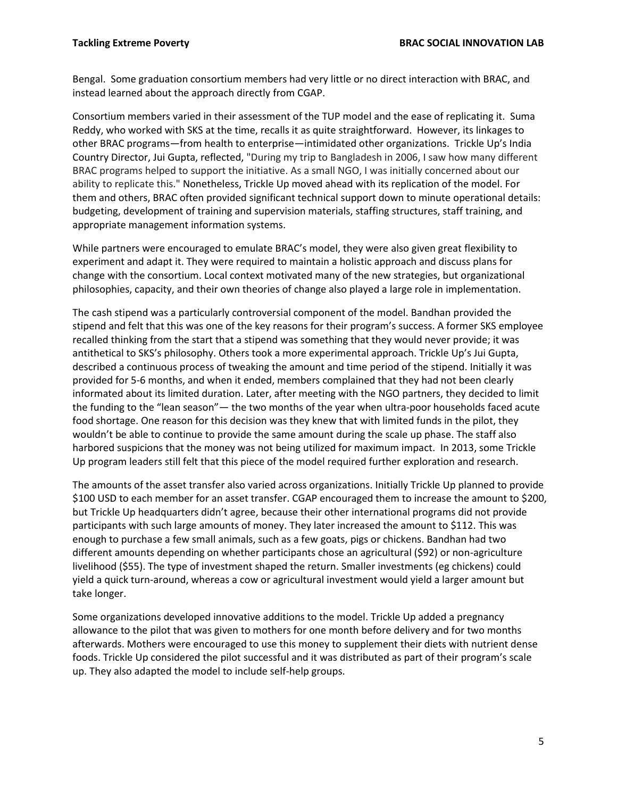Bengal. Some graduation consortium members had very little or no direct interaction with BRAC, and instead learned about the approach directly from CGAP.

Consortium members varied in their assessment of the TUP model and the ease of replicating it. Suma Reddy, who worked with SKS at the time, recalls it as quite straightforward. However, its linkages to other BRAC programs—from health to enterprise—intimidated other organizations. Trickle Up's India Country Director, Jui Gupta, reflected, "During my trip to Bangladesh in 2006, I saw how many different BRAC programs helped to support the initiative. As a small NGO, I was initially concerned about our ability to replicate this." Nonetheless, Trickle Up moved ahead with its replication of the model. For them and others, BRAC often provided significant technical support down to minute operational details: budgeting, development of training and supervision materials, staffing structures, staff training, and appropriate management information systems.

While partners were encouraged to emulate BRAC's model, they were also given great flexibility to experiment and adapt it. They were required to maintain a holistic approach and discuss plans for change with the consortium. Local context motivated many of the new strategies, but organizational philosophies, capacity, and their own theories of change also played a large role in implementation.

The cash stipend was a particularly controversial component of the model. Bandhan provided the stipend and felt that this was one of the key reasons for their program's success. A former SKS employee recalled thinking from the start that a stipend was something that they would never provide; it was antithetical to SKS's philosophy. Others took a more experimental approach. Trickle Up's Jui Gupta, described a continuous process of tweaking the amount and time period of the stipend. Initially it was provided for 5-6 months, and when it ended, members complained that they had not been clearly informated about its limited duration. Later, after meeting with the NGO partners, they decided to limit the funding to the "lean season"— the two months of the year when ultra-poor households faced acute food shortage. One reason for this decision was they knew that with limited funds in the pilot, they wouldn't be able to continue to provide the same amount during the scale up phase. The staff also harbored suspicions that the money was not being utilized for maximum impact. In 2013, some Trickle Up program leaders still felt that this piece of the model required further exploration and research.

The amounts of the asset transfer also varied across organizations. Initially Trickle Up planned to provide \$100 USD to each member for an asset transfer. CGAP encouraged them to increase the amount to \$200, but Trickle Up headquarters didn't agree, because their other international programs did not provide participants with such large amounts of money. They later increased the amount to \$112. This was enough to purchase a few small animals, such as a few goats, pigs or chickens. Bandhan had two different amounts depending on whether participants chose an agricultural (\$92) or non-agriculture livelihood (\$55). The type of investment shaped the return. Smaller investments (eg chickens) could yield a quick turn-around, whereas a cow or agricultural investment would yield a larger amount but take longer.

Some organizations developed innovative additions to the model. Trickle Up added a pregnancy allowance to the pilot that was given to mothers for one month before delivery and for two months afterwards. Mothers were encouraged to use this money to supplement their diets with nutrient dense foods. Trickle Up considered the pilot successful and it was distributed as part of their program's scale up. They also adapted the model to include self-help groups.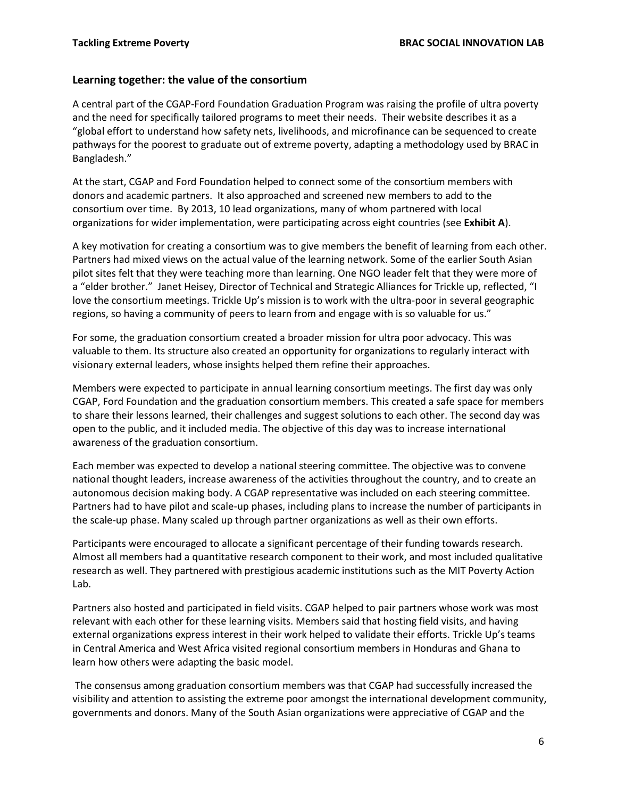### **Learning together: the value of the consortium**

A central part of the CGAP-Ford Foundation Graduation Program was raising the profile of ultra poverty and the need for specifically tailored programs to meet their needs. Their website describes it as a "global effort to understand how safety nets, livelihoods, and microfinance can be sequenced to create pathways for the poorest to graduate out of extreme poverty, adapting a methodology used by BRAC in Bangladesh."

At the start, CGAP and Ford Foundation helped to connect some of the consortium members with donors and academic partners. It also approached and screened new members to add to the consortium over time. By 2013, 10 lead organizations, many of whom partnered with local organizations for wider implementation, were participating across eight countries (see **Exhibit A**).

A key motivation for creating a consortium was to give members the benefit of learning from each other. Partners had mixed views on the actual value of the learning network. Some of the earlier South Asian pilot sites felt that they were teaching more than learning. One NGO leader felt that they were more of a "elder brother." Janet Heisey, Director of Technical and Strategic Alliances for Trickle up, reflected, "I love the consortium meetings. Trickle Up's mission is to work with the ultra-poor in several geographic regions, so having a community of peers to learn from and engage with is so valuable for us."

For some, the graduation consortium created a broader mission for ultra poor advocacy. This was valuable to them. Its structure also created an opportunity for organizations to regularly interact with visionary external leaders, whose insights helped them refine their approaches.

Members were expected to participate in annual learning consortium meetings. The first day was only CGAP, Ford Foundation and the graduation consortium members. This created a safe space for members to share their lessons learned, their challenges and suggest solutions to each other. The second day was open to the public, and it included media. The objective of this day was to increase international awareness of the graduation consortium.

Each member was expected to develop a national steering committee. The objective was to convene national thought leaders, increase awareness of the activities throughout the country, and to create an autonomous decision making body. A CGAP representative was included on each steering committee. Partners had to have pilot and scale-up phases, including plans to increase the number of participants in the scale-up phase. Many scaled up through partner organizations as well as their own efforts.

Participants were encouraged to allocate a significant percentage of their funding towards research. Almost all members had a quantitative research component to their work, and most included qualitative research as well. They partnered with prestigious academic institutions such as the MIT Poverty Action Lab.

Partners also hosted and participated in field visits. CGAP helped to pair partners whose work was most relevant with each other for these learning visits. Members said that hosting field visits, and having external organizations express interest in their work helped to validate their efforts. Trickle Up's teams in Central America and West Africa visited regional consortium members in Honduras and Ghana to learn how others were adapting the basic model.

The consensus among graduation consortium members was that CGAP had successfully increased the visibility and attention to assisting the extreme poor amongst the international development community, governments and donors. Many of the South Asian organizations were appreciative of CGAP and the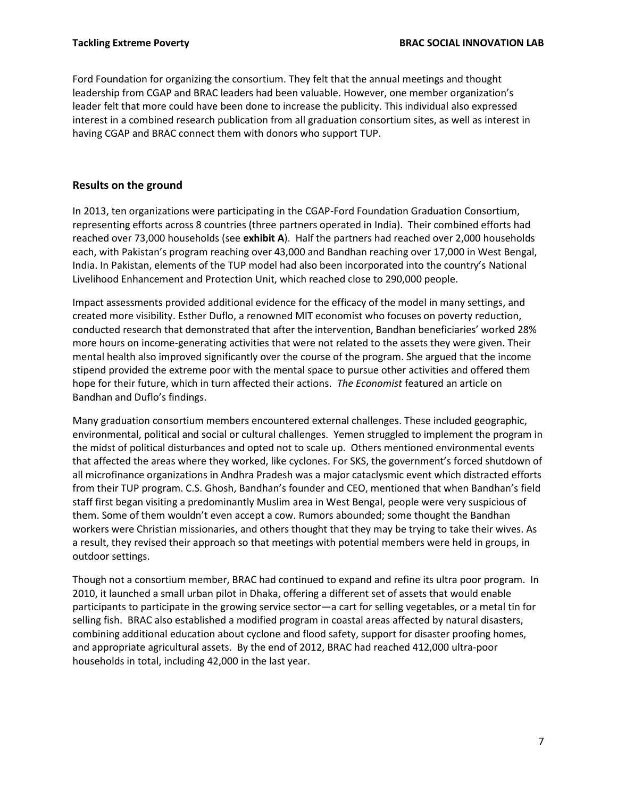Ford Foundation for organizing the consortium. They felt that the annual meetings and thought leadership from CGAP and BRAC leaders had been valuable. However, one member organization's leader felt that more could have been done to increase the publicity. This individual also expressed interest in a combined research publication from all graduation consortium sites, as well as interest in having CGAP and BRAC connect them with donors who support TUP.

# **Results on the ground**

In 2013, ten organizations were participating in the CGAP-Ford Foundation Graduation Consortium, representing efforts across 8 countries (three partners operated in India). Their combined efforts had reached over 73,000 households (see **exhibit A**). Half the partners had reached over 2,000 households each, with Pakistan's program reaching over 43,000 and Bandhan reaching over 17,000 in West Bengal, India. In Pakistan, elements of the TUP model had also been incorporated into the country's National Livelihood Enhancement and Protection Unit, which reached close to 290,000 people.

Impact assessments provided additional evidence for the efficacy of the model in many settings, and created more visibility. Esther Duflo, a renowned MIT economist who focuses on poverty reduction, conducted research that demonstrated that after the intervention, Bandhan beneficiaries' worked 28% more hours on income-generating activities that were not related to the assets they were given. Their mental health also improved significantly over the course of the program. She argued that the income stipend provided the extreme poor with the mental space to pursue other activities and offered them hope for their future, which in turn affected their actions. *The Economist* featured an article on Bandhan and Duflo's findings.

Many graduation consortium members encountered external challenges. These included geographic, environmental, political and social or cultural challenges. Yemen struggled to implement the program in the midst of political disturbances and opted not to scale up. Others mentioned environmental events that affected the areas where they worked, like cyclones. For SKS, the government's forced shutdown of all microfinance organizations in Andhra Pradesh was a major cataclysmic event which distracted efforts from their TUP program. C.S. Ghosh, Bandhan's founder and CEO, mentioned that when Bandhan's field staff first began visiting a predominantly Muslim area in West Bengal, people were very suspicious of them. Some of them wouldn't even accept a cow. Rumors abounded; some thought the Bandhan workers were Christian missionaries, and others thought that they may be trying to take their wives. As a result, they revised their approach so that meetings with potential members were held in groups, in outdoor settings.

Though not a consortium member, BRAC had continued to expand and refine its ultra poor program. In 2010, it launched a small urban pilot in Dhaka, offering a different set of assets that would enable participants to participate in the growing service sector—a cart for selling vegetables, or a metal tin for selling fish. BRAC also established a modified program in coastal areas affected by natural disasters, combining additional education about cyclone and flood safety, support for disaster proofing homes, and appropriate agricultural assets. By the end of 2012, BRAC had reached 412,000 ultra-poor households in total, including 42,000 in the last year.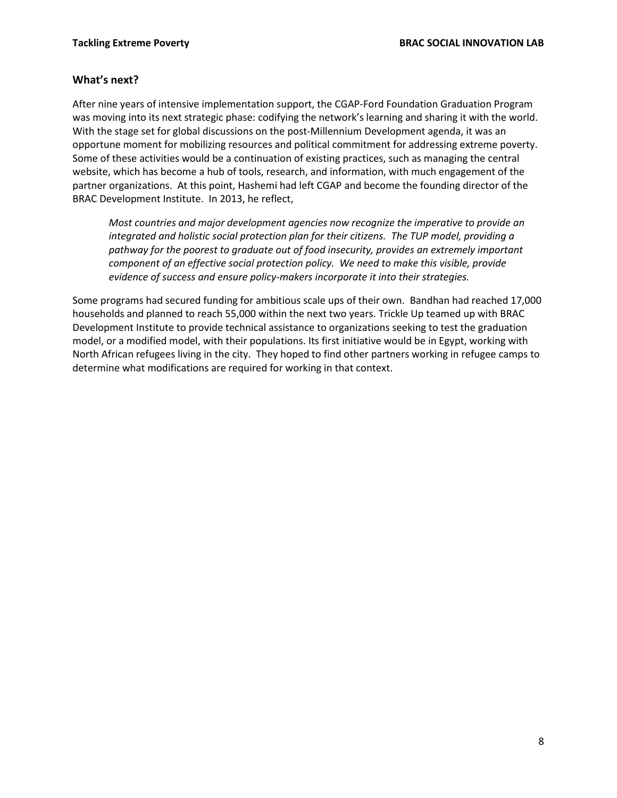## **What's next?**

After nine years of intensive implementation support, the CGAP-Ford Foundation Graduation Program was moving into its next strategic phase: codifying the network's learning and sharing it with the world. With the stage set for global discussions on the post-Millennium Development agenda, it was an opportune moment for mobilizing resources and political commitment for addressing extreme poverty. Some of these activities would be a continuation of existing practices, such as managing the central website, which has become a hub of tools, research, and information, with much engagement of the partner organizations. At this point, Hashemi had left CGAP and become the founding director of the BRAC Development Institute. In 2013, he reflect,

*Most countries and major development agencies now recognize the imperative to provide an integrated and holistic social protection plan for their citizens. The TUP model, providing a pathway for the poorest to graduate out of food insecurity, provides an extremely important component of an effective social protection policy. We need to make this visible, provide evidence of success and ensure policy-makers incorporate it into their strategies.*

Some programs had secured funding for ambitious scale ups of their own. Bandhan had reached 17,000 households and planned to reach 55,000 within the next two years. Trickle Up teamed up with BRAC Development Institute to provide technical assistance to organizations seeking to test the graduation model, or a modified model, with their populations. Its first initiative would be in Egypt, working with North African refugees living in the city. They hoped to find other partners working in refugee camps to determine what modifications are required for working in that context.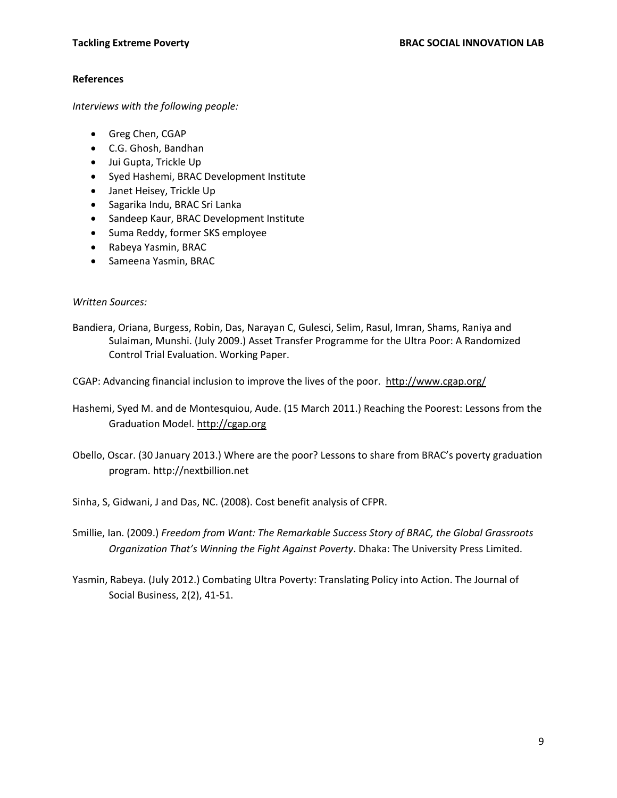#### **References**

*Interviews with the following people:*

- Greg Chen, CGAP
- C.G. Ghosh, Bandhan
- Jui Gupta, Trickle Up
- Syed Hashemi, BRAC Development Institute
- Janet Heisey, Trickle Up
- Sagarika Indu, BRAC Sri Lanka
- Sandeep Kaur, BRAC Development Institute
- Suma Reddy, former SKS employee
- Rabeya Yasmin, BRAC
- Sameena Yasmin, BRAC

#### *Written Sources:*

Bandiera, Oriana, Burgess, Robin, Das, Narayan C, Gulesci, Selim, Rasul, Imran, Shams, Raniya and Sulaiman, Munshi. (July 2009.) Asset Transfer Programme for the Ultra Poor: A Randomized Control Trial Evaluation. Working Paper.

CGAP: Advancing financial inclusion to improve the lives of the poor.<http://www.cgap.org/>

Hashemi, Syed M. and de Montesquiou, Aude. (15 March 2011.) Reaching the Poorest: Lessons from the Graduation Model. http://cgap.org

Obello, Oscar. (30 January 2013.) Where are the poor? Lessons to share from BRAC's poverty graduation program. http://nextbillion.net

Sinha, S, Gidwani, J and Das, NC. (2008). Cost benefit analysis of CFPR.

Smillie, Ian. (2009.) *Freedom from Want: The Remarkable Success Story of BRAC, the Global Grassroots Organization That's Winning the Fight Against Poverty*. Dhaka: The University Press Limited.

Yasmin, Rabeya. (July 2012.) Combating Ultra Poverty: Translating Policy into Action. The Journal of Social Business, 2(2), 41-51.